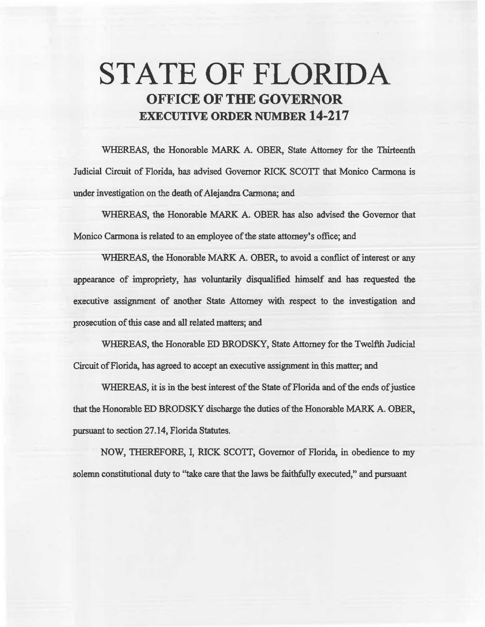# STATE OF FLORIDA OFFICE OF THE GOVERNOR EXECUTIVE ORDER NUMBER 14-217

WHEREAS, the Honorable MARK A. OBER, State Attorney for the Thirteenth fadicial Circuit of Florida, has advised Governor RICK SCOTI that Monico Carmona is under investigation on the death of Alejandra Carmona; and

WHEREAS, the Honorable MARK A. OBER has also advised the Governor that Monico Carmona is related to an employee of the state attorney's office; and

WHEREAS, the Honorable MARK A. OBER, to avoid a conflict of interest or any appearance of impropriety, has voluntarily disqualified himself and has requested the executive assignment of another State Attorney with respect to the investigation and prosecution of this case and all related matters; and

WHEREAS, the Honorable ED BRODSKY, State Attorney for the Twelfth Judicial Circuit of Florida, has agreed to accept an executive assigmnent in this matter; and

WHEREAS, it is in the best interest of the State of Florida and of the ends of justice that the Honorable ED BRODSKY discharge the duties of the Honorable MARK A. OBER, pursuant to section 27.14, Florida Statutes.

NOW, THEREFORE, I, RICK SCOTI, Governor of Florida, in obedience to my solemn constitutional duty to "take care that the laws be faithfully executed," and pursuant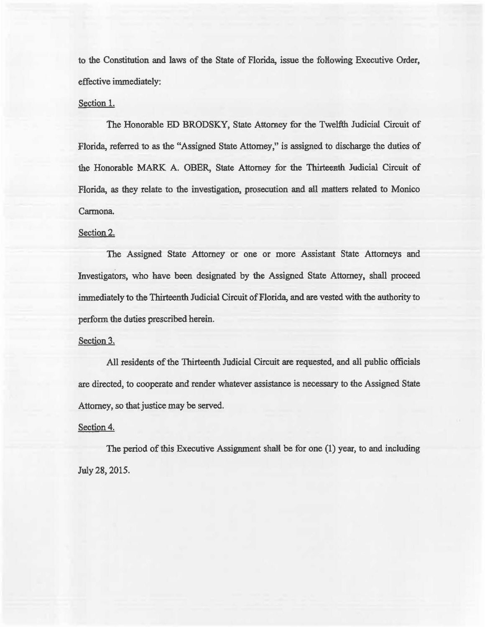to the Constitution and laws of the State of Florida, issue the following Executive Order, effective immediately:

### Section 1.

The Honorable ED BRODSKY, State Attorney for the Twelfth. Judicial Circuit of Florida, referred to as the "Assigned State Attorney," is assigned to discharge the duties of the Honorable MARK A. OBER, State Attorney for the Thirteenth Judicial Circuit of Florida, as they relate to the investigation, prosecution and ail matters related to Monico Carmona.

## Section 2.

The Assigned State Attorney or one or more Assistant State Attorneys and Investigators, who have been designated by the Assigned State Attorney, shall proceed immediately to the Thirteenth Judicial Circuit of Florida, and are vested with the authority to perform the duties prescribed herein.

### Section 3.

All residents of the Thirteenth Judicial Circuit are requested, and all public officials are directed, to cooperate and render whatever assistance is necessary to the Assigned State Attorney, so that justice may be served.

## Section 4.

The period of this Executive Assignment shall be for one (1) year, to and including July 28, 2015.